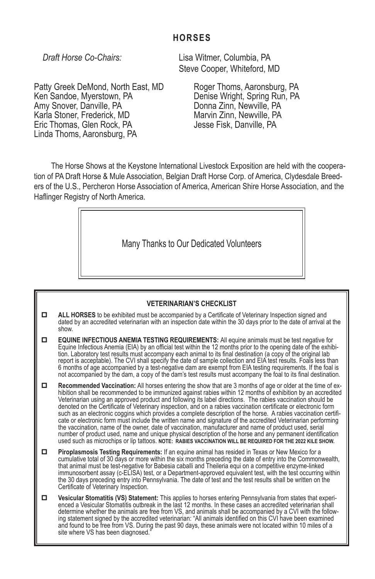# **HORSES**

Patty Greek DeMond, North East, MD Ken Sandoe, Myerstown, PA Amy Snover, Danville, PA Karla Stoner, Frederick, MD Eric Thomas, Glen Rock, PA Linda Thoms, Aaronsburg, PA

*Draft Horse Co-Chairs:* Lisa Witmer, Columbia, PA Steve Cooper, Whiteford, MD

> Roger Thoms, Aaronsburg, PA Denise Wright, Spring Run, PA Donna Zinn, Newville, PA Marvin Zinn, Newville, PA Jesse Fisk, Danville, PA

The Horse Shows at the Keystone International Livestock Exposition are held with the cooperation of PA Draft Horse & Mule Association, Belgian Draft Horse Corp. of America, Clydesdale Breeders of the U.S., Percheron Horse Association of America, American Shire Horse Association, and the Haflinger Registry of North America.

Many Thanks to Our Dedicated Volunteers

#### **VETERINARIAN'S CHECKLIST**

- **ALL HORSES** to be exhibited must be accompanied by a Certificate of Veterinary Inspection signed and dated by an accredited veterinarian with an inspection date within the 30 days prior to the date of arrival at the show.
- **EQUINE INFECTIOUS ANEMIA TESTING REQUIREMENTS:** All equine animals must be test negative for<br>Equine Infectious Anemia (EIA) by an official test within the 12 months prior to the opening date of the exhibition. Laboratory test results must accompany each animal to its final destination (a copy of the original lab report is acceptable). The CVI shall specify the date of sample collection and EIA test results. Foals less than 6 months of age accompanied by a test-negative dam are exempt from EIA testing requirements. If the foal is not accompanied by the dam, a copy of the dam's test results must accompany the foal to its final destination.
- **Recommended Vaccination:** All horses entering the show that are 3 months of age or older at the time of ex- hibition shall be recommended to be immunized against rabies within 12 months of exhibition by an accredited Veterinarian using an approved product and following its label directions. The rabies vaccination should be denoted on the Certificate of Veterinary inspection, and on a rabies vaccination certificate or electronic form such as an electronic coggins which provides a complete description of the horse. A rabies vaccination certifi- cate or electronic form must include the written name and signature of the accredited Veterinarian performing the vaccination, name of the owner, date of vaccination, manufacturer and name of product used, serial number of product used, name and unique physical description of the horse and any permanent identification used such as microchips or lip tattoos. **NOTE: RABIES VACCINATION WILL BE REQUIRED FOR THE 2022 KILE SHOW.**
- **Piroplasmosis Testing Requirements:** If an equine animal has resided in Texas or New Mexico for a cumulative total of 30 days or more within the six months preceding the date of entry into the Commonwealth, that animal must be test-negative for Babesia caballi and Theileria equi on a competitive enzyme-linked immunosorbent assay (c-ELISA) test, or a Department-approved equivalent test, with the test occurring within the 30 days preceding entry into Pennsylvania. The date of test and the test results shall be written on the Certificate of Veterinary Inspection.
- **I** Vesicular Stomatitis (VS) Statement: This applies to horses entering Pennsylvania from states that experi-<br>enced a Vesicular Stomatitis outbreak in the last 12 months. In these cases an accredited veterinarian shall<br>de ing statement signed by the accredited veterinarian: "All animals identified on this CVI have been examined and found to be free from VS. During the past 90 days, these animals were not located within 10 miles of a site where VS has been diagnosed.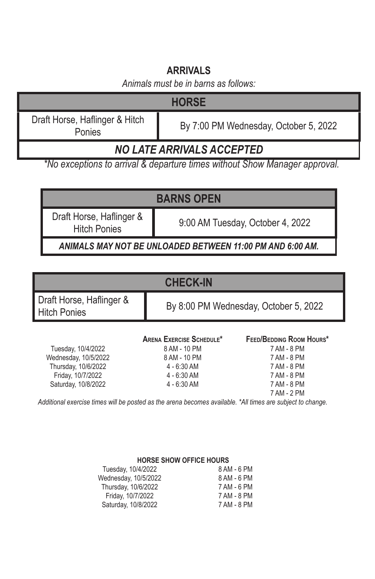# **ARRIVALS**

*Animals must be in barns as follows:*

| <b>HORSE</b>                             |                                       |  |
|------------------------------------------|---------------------------------------|--|
| Draft Horse, Haflinger & Hitch<br>Ponies | By 7:00 PM Wednesday, October 5, 2022 |  |
| <b>NO LATE ARRIVALS ACCEPTED</b>         |                                       |  |

*\*No exceptions to arrival & departure times without Show Manager approval.*

# **BARNS OPEN**

Draft Horse, Haflinger &

Hitch Ponies 9:00 AM Tuesday, October 4, 2022

*ANIMALS MAY NOT BE UNLOADED BETWEEN 11:00 PM AND 6:00 AM.*

# **CHECK-IN**

Draft Horse, Haflinger &<br>Hitch Ponies

By 8:00 PM Wednesday, October 5, 2022

Tuesday, 10/4/2022 Saturday, 10/8/2022

# **Arena Exercise Schedule\* Feed/Bedding Room Hours\*** Wednesday, 10/5/2022 8 AM - 10 PM 7 AM - 8 PM Thursday, 10/6/2022 4 - 6:30 AM 7 AM - 8 PM Friday, 10/7/2022 4 - 6:30 AM 7 AM - 8 PM

# 7 AM - 2 PM

*Additional exercise times will be posted as the arena becomes available. \*All times are subject to change.*

#### **HORSE SHOW OFFICE HOURS**

| 8 AM - 6 PM |
|-------------|
| 8 AM - 6 PM |
| 7 AM - 6 PM |
| 7 AM - 8 PM |
| 7 AM - 8 PM |
|             |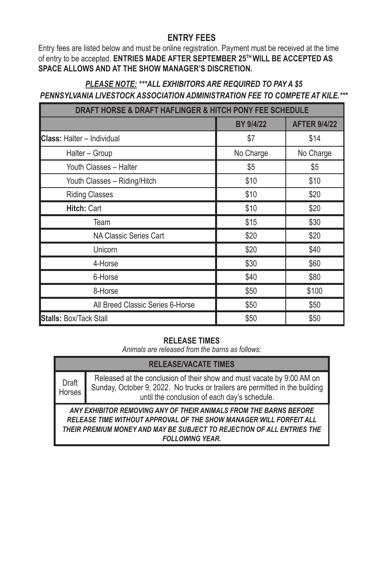## **ENTRY FEES**

Entry fees are listed below and must be online registration. Payment must be received at the time of entry to be accepted. **ENTRIES MADE AFTER SEPTEMBER 25TH WILL BE ACCEPTED AS SPACE ALLOWS AND AT THE SHOW MANAGER'S DISCRETION.**

## *PLEASE NOTE: \*\*\*ALL EXHIBITORS ARE REQUIRED TO PAY A \$5 PENNSYLVANIA LIVESTOCK ASSOCIATION ADMINISTRATION FEE TO COMPETE AT KILE.\*\*\**

| DRAFT HORSE & DRAFT HAFLINGER & HITCH PONY FEE SCHEDULE |                  |                     |  |
|---------------------------------------------------------|------------------|---------------------|--|
|                                                         | <b>BY 9/4/22</b> | <b>AFTER 9/4/22</b> |  |
| <b>Class: Halter - Individual</b>                       | \$7              | \$14                |  |
| Halter - Group                                          | No Charge        | No Charge           |  |
| Youth Classes - Halter                                  | \$5              | \$5                 |  |
| Youth Classes - Riding/Hitch                            | \$10             | \$10                |  |
| <b>Riding Classes</b>                                   | \$10             | \$20                |  |
| <b>Hitch: Cart</b>                                      | \$10             | \$20                |  |
| Team                                                    | \$15             | \$30                |  |
| NA Classic Series Cart                                  | \$20             | \$20                |  |
| Unicorn                                                 | \$20             | \$40                |  |
| 4-Horse                                                 | \$30             | \$60                |  |
| 6-Horse                                                 | \$40             | \$80                |  |
| 8-Horse                                                 | \$50             | \$100               |  |
| All Breed Classic Series 6-Horse                        | \$50             | \$50                |  |
| Stalls: Box/Tack Stall                                  | \$50             | \$50                |  |

## **RELEASE TIMES**

*Animals are released from the barns as follows:*

# **RELEASE/VACATE TIMES**

Draft Horses Released at the conclusion of their show and must vacate by 9:00 AM on Sunday, October 9, 2022. No trucks or trailers are permitted in the building until the conclusion of each day's schedule.

*ANY EXHIBITOR REMOVING ANY OF THEIR ANIMALS FROM THE BARNS BEFORE RELEASE TIME WITHOUT APPROVAL OF THE SHOW MANAGER WILL FORFEIT ALL THEIR PREMIUM MONEY AND MAY BE SUBJECT TO REJECTION OF ALL ENTRIES THE FOLLOWING YEAR.*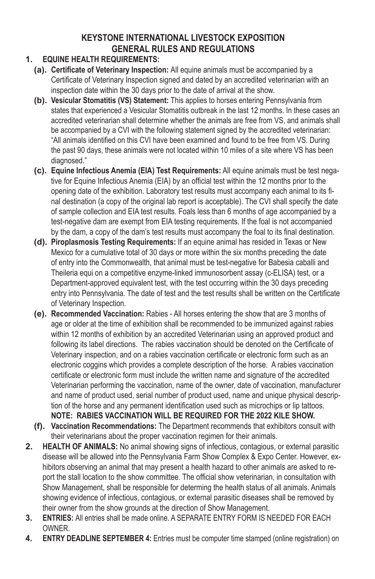# **KEYSTONE INTERNATIONAL LIVESTOCK EXPOSITION GENERAL RULES AND REGULATIONS**

# **1. EQUINE HEALTH REQUIREMENTS:**

- **(a). Certificate of Veterinary Inspection:** All equine animals must be accompanied by a Certificate of Veterinary Inspection signed and dated by an accredited veterinarian with an inspection date within the 30 days prior to the date of arrival at the show.
- **(b). Vesicular Stomatitis (VS) Statement:** This applies to horses entering Pennsylvania from states that experienced a Vesicular Stomatitis outbreak in the last 12 months. In these cases an accredited veterinarian shall determine whether the animals are free from VS, and animals shall be accompanied by a CVI with the following statement signed by the accredited veterinarian: "All animals identified on this CVI have been examined and found to be free from VS. During the past 90 days, these animals were not located within 10 miles of a site where VS has been diagnosed."
- **(c). Equine Infectious Anemia (EIA) Test Requirements:** All equine animals must be test negative for Equine Infectious Anemia (EIA) by an official test within the 12 months prior to the opening date of the exhibition. Laboratory test results must accompany each animal to its final destination (a copy of the original lab report is acceptable). The CVI shall specify the date of sample collection and EIA test results. Foals less than 6 months of age accompanied by a test-negative dam are exempt from EIA testing requirements. If the foal is not accompanied by the dam, a copy of the dam's test results must accompany the foal to its final destination.
- **(d). Piroplasmosis Testing Requirements:** If an equine animal has resided in Texas or New Mexico for a cumulative total of 30 days or more within the six months preceding the date of entry into the Commonwealth, that animal must be test-negative for Babesia caballi and Theileria equi on a competitive enzyme-linked immunosorbent assay (c-ELISA) test, or a Department-approved equivalent test, with the test occurring within the 30 days preceding entry into Pennsylvania. The date of test and the test results shall be written on the Certificate of Veterinary Inspection.
- **(e). Recommended Vaccination:** Rabies All horses entering the show that are 3 months of age or older at the time of exhibition shall be recommended to be immunized against rabies within 12 months of exhibition by an accredited Veterinarian using an approved product and following its label directions. The rabies vaccination should be denoted on the Certificate of Veterinary inspection, and on a rabies vaccination certificate or electronic form such as an electronic coggins which provides a complete description of the horse. A rabies vaccination certificate or electronic form must include the written name and signature of the accredited Veterinarian performing the vaccination, name of the owner, date of vaccination, manufacturer and name of product used, serial number of product used, name and unique physical description of the horse and any permanent identification used such as microchips or lip tattoos. **NOTE: RABIES VACCINATION WILL BE REQUIRED FOR THE 2022 KILE SHOW.**
- **(f). Vaccination Recommendations:** The Department recommends that exhibitors consult with their veterinarians about the proper vaccination regimen for their animals.
- **2. HEALTH OF ANIMALS:** No animal showing signs of infectious, contagious, or external parasitic disease will be allowed into the Pennsylvania Farm Show Complex & Expo Center. However, exhibitors observing an animal that may present a health hazard to other animals are asked to report the stall location to the show committee. The official show veterinarian, in consultation with Show Management, shall be responsible for determing the health status of all animals. Animals showing evidence of infectious, contagious, or external parasitic diseases shall be removed by their owner from the show grounds at the direction of Show Management.
- **3. ENTRIES:** All entries shall be made online. A SEPARATE ENTRY FORM IS NEEDED FOR EACH OWNER.
- **4. ENTRY DEADLINE SEPTEMBER 4:** Entries must be computer time stamped (online registration) on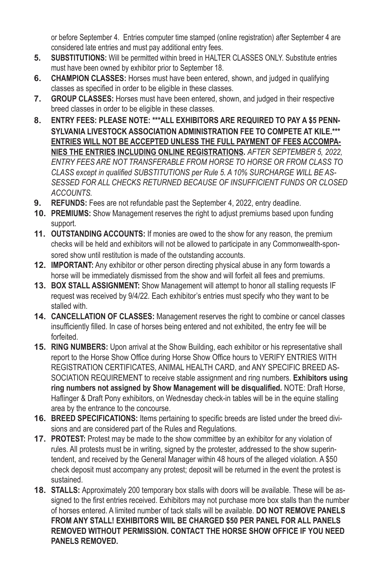or before September 4. Entries computer time stamped (online registration) after September 4 are considered late entries and must pay additional entry fees.

- **5. SUBSTITUTIONS:** Will be permitted within breed in HALTER CLASSES ONLY. Substitute entries must have been owned by exhibitor prior to September 18.
- **6. CHAMPION CLASSES:** Horses must have been entered, shown, and judged in qualifying classes as specified in order to be eligible in these classes.
- **7. GROUP CLASSES:** Horses must have been entered, shown, and judged in their respective breed classes in order to be eligible in these classes.
- **8. ENTRY FEES: PLEASE NOTE: \*\*\*ALL EXHIBITORS ARE REQUIRED TO PAY A \$5 PENN-SYLVANIA LIVESTOCK ASSOCIATION ADMINISTRATION FEE TO COMPETE AT KILE.\*\*\* ENTRIES WILL NOT BE ACCEPTED UNLESS THE FULL PAYMENT OF FEES ACCOMPA-NIES THE ENTRIES INCLUDING ONLINE REGISTRATIONS.** *AFTER SEPTEMBER 5, 2022, ENTRY FEES ARE NOT TRANSFERABLE FROM HORSE TO HORSE OR FROM CLASS TO CLASS except in qualified SUBSTITUTIONS per Rule 5. A 10% SURCHARGE WILL BE AS-SESSED FOR ALL CHECKS RETURNED BECAUSE OF INSUFFICIENT FUNDS OR CLOSED ACCOUNTS.*
- **9. REFUNDS:** Fees are not refundable past the September 4, 2022, entry deadline.
- **10. PREMIUMS:** Show Management reserves the right to adjust premiums based upon funding support.
- **11. OUTSTANDING ACCOUNTS:** If monies are owed to the show for any reason, the premium checks will be held and exhibitors will not be allowed to participate in any Commonwealth-sponsored show until restitution is made of the outstanding accounts.
- **12. IMPORTANT:** Any exhibitor or other person directing physical abuse in any form towards a horse will be immediately dismissed from the show and will forfeit all fees and premiums.
- **13. BOX STALL ASSIGNMENT:** Show Management will attempt to honor all stalling requests IF request was received by 9/4/22. Each exhibitor's entries must specify who they want to be stalled with.
- **14. CANCELLATION OF CLASSES:** Management reserves the right to combine or cancel classes insufficiently filled. In case of horses being entered and not exhibited, the entry fee will be forfeited.
- **15. RING NUMBERS:** Upon arrival at the Show Building, each exhibitor or his representative shall report to the Horse Show Office during Horse Show Office hours to VERIFY ENTRIES WITH REGISTRATION CERTIFICATES, ANIMAL HEALTH CARD, and ANY SPECIFIC BREED AS-SOCIATION REQUIREMENT to receive stable assignment and ring numbers. **Exhibitors using ring numbers not assigned by Show Management will be disqualified.** NOTE: Draft Horse, Haflinger & Draft Pony exhibitors, on Wednesday check-in tables will be in the equine stalling area by the entrance to the concourse.
- **16. BREED SPECIFICATIONS:** Items pertaining to specific breeds are listed under the breed divisions and are considered part of the Rules and Regulations.
- **17. PROTEST:** Protest may be made to the show committee by an exhibitor for any violation of rules. All protests must be in writing, signed by the protester, addressed to the show superintendent, and received by the General Manager within 48 hours of the alleged violation. A \$50 check deposit must accompany any protest; deposit will be returned in the event the protest is sustained.
- **18. STALLS:** Approximately 200 temporary box stalls with doors will be available. These will be assigned to the first entries received. Exhibitors may not purchase more box stalls than the number of horses entered. A limited number of tack stalls will be available. **DO NOT REMOVE PANELS FROM ANY STALL! EXHIBITORS WIIL BE CHARGED \$50 PER PANEL FOR ALL PANELS REMOVED WITHOUT PERMISSION. CONTACT THE HORSE SHOW OFFICE IF YOU NEED PANELS REMOVED.**